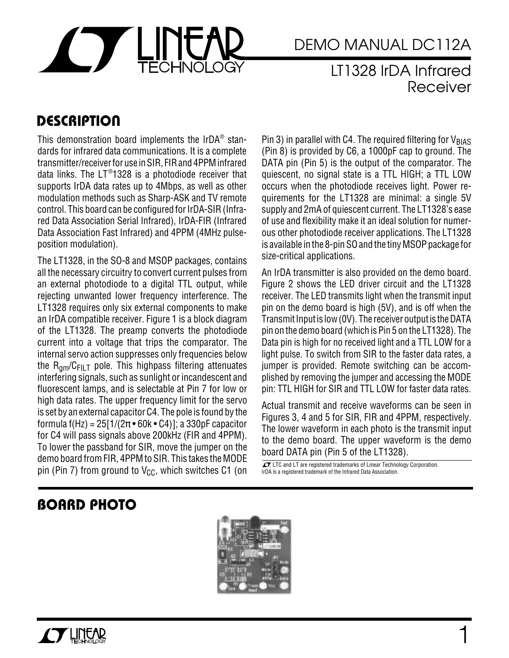

# DEMO MANUAL DC112A DEMO MANUAL DC112A

### LT1328 IrDA Infrared Receiver

### **DESCRIPTION**

This demonstration board implements the IrDA $^\circ$  standards for infrared data communications. It is a complete transmitter/receiver for use in SIR, FIR and 4PPM infrared data links. The LT®1328 is a photodiode receiver that supports IrDA data rates up to 4Mbps, as well as other modulation methods such as Sharp-ASK and TV remote control. This board can be configured for IrDA-SIR (Infrared Data Association Serial Infrared), IrDA-FIR (Infrared Data Association Fast Infrared) and 4PPM (4MHz pulseposition modulation).

The LT1328, in the SO-8 and MSOP packages, contains all the necessary circuitry to convert current pulses from an external photodiode to a digital TTL output, while rejecting unwanted lower frequency interference. The LT1328 requires only six external components to make an IrDA compatible receiver. Figure 1 is a block diagram of the LT1328. The preamp converts the photodiode current into a voltage that trips the comparator. The internal servo action suppresses only frequencies below the  $R_{am}/C_{FILT}$  pole. This highpass filtering attenuates interfering signals, such as sunlight or incandescent and fluorescent lamps, and is selectable at Pin 7 for low or high data rates. The upper frequency limit for the servo is set by an external capacitor C4. The pole is found by the formula f(Hz) =  $25[1/(2\pi \cdot 60k \cdot C4)]$ ; a 330pF capacitor for C4 will pass signals above 200kHz (FIR and 4PPM). To lower the passband for SIR, move the jumper on the demo board from FIR, 4PPM to SIR. This takes the MODE pin (Pin 7) from ground to  $V_{CC}$ , which switches C1 (on

Pin 3) in parallel with C4. The required filtering for  $V_{BIAS}$ (Pin 8) is provided by C6, a 1000pF cap to ground. The DATA pin (Pin 5) is the output of the comparator. The quiescent, no signal state is a TTL HIGH; a TTL LOW occurs when the photodiode receives light. Power requirements for the LT1328 are minimal: a single 5V supply and 2mA of quiescent current. The LT1328's ease of use and flexibility make it an ideal solution for numerous other photodiode receiver applications. The LT1328 is available in the 8-pin SO and the tiny MSOP package for size-critical applications.

An IrDA transmitter is also provided on the demo board. Figure 2 shows the LED driver circuit and the LT1328 receiver. The LED transmits light when the transmit input pin on the demo board is high (5V), and is off when the Transmit Input is low (0V). The receiver output is the DATA pin on the demo board (which is Pin 5 on the LT1328). The Data pin is high for no received light and a TTL LOW for a light pulse. To switch from SIR to the faster data rates, a jumper is provided. Remote switching can be accomplished by removing the jumper and accessing the MODE pin: TTL HIGH for SIR and TTL LOW for faster data rates.

Actual transmit and receive waveforms can be seen in Figures 3, 4 and 5 for SIR, FIR and 4PPM, respectively. The lower waveform in each photo is the transmit input to the demo board. The upper waveform is the demo board DATA pin (Pin 5 of the LT1328).

 $\sqrt{J}$ , LTC and LT are registered trademarks of Linear Technology Corporation. IrDA is a registered trademark of the Infrared Data Association.

### **BOARD PHOTO**

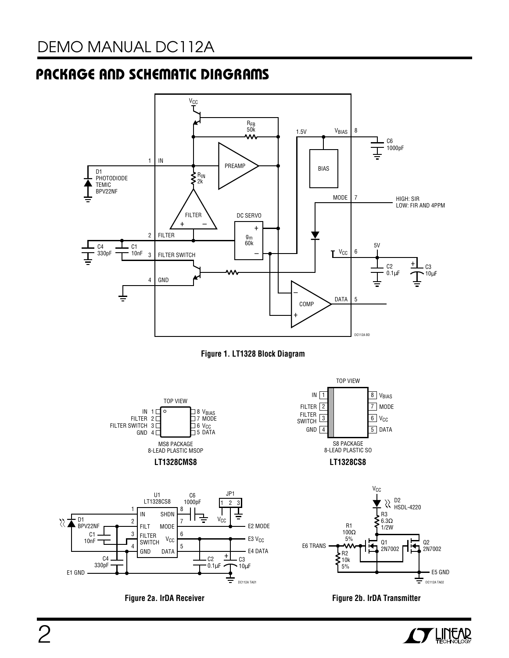## **PACKAGE AND SCHEMATIC DIAGRAMS**











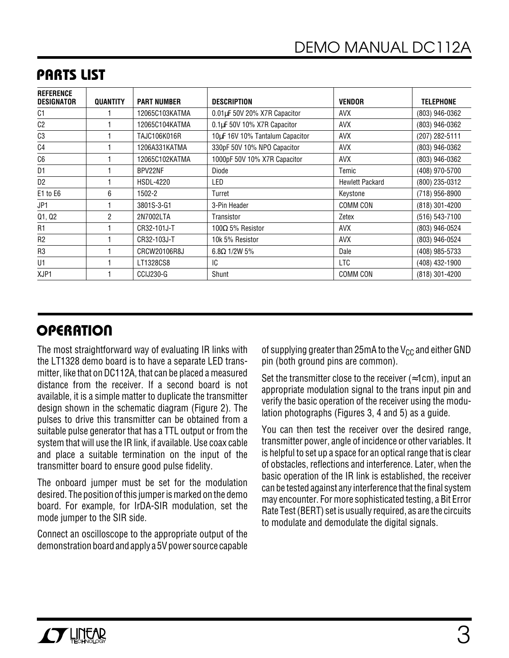| <b>REFERENCE</b><br><b>DESIGNATOR</b> | <b>QUANTITY</b> | <b>PART NUMBER</b>  | <b>DESCRIPTION</b>              | <b>VENDOR</b>          | <b>TELEPHONE</b> |
|---------------------------------------|-----------------|---------------------|---------------------------------|------------------------|------------------|
| C1                                    |                 | 12065C103KATMA      | 0.01µF 50V 20% X7R Capacitor    | <b>AVX</b>             | (803) 946-0362   |
| C <sub>2</sub>                        |                 | 12065C104KATMA      | 0.1µF 50V 10% X7R Capacitor     | <b>AVX</b>             | (803) 946-0362   |
| C <sub>3</sub>                        |                 | <b>TAJC106K016R</b> | 10µF 16V 10% Tantalum Capacitor | <b>AVX</b>             | (207) 282-5111   |
| C4                                    |                 | 1206A331KATMA       | 330pF 50V 10% NPO Capacitor     | <b>AVX</b>             | (803) 946-0362   |
| C <sub>6</sub>                        |                 | 12065C102KATMA      | 1000pF 50V 10% X7R Capacitor    | <b>AVX</b>             | (803) 946-0362   |
| D1                                    |                 | BPV22NF             | Diode                           | Temic                  | (408) 970-5700   |
| D <sub>2</sub>                        |                 | <b>HSDL-4220</b>    | LED                             | <b>Hewlett Packard</b> | (800) 235-0312   |
| E1 to E6                              | 6               | 1502-2              | Turret                          | Keystone               | (718) 956-8900   |
| JP1                                   |                 | 3801S-3-G1          | 3-Pin Header                    | COMM CON               | (818) 301-4200   |
| Q1, Q2                                | $\overline{2}$  | 2N7002LTA           | Transistor                      | Zetex                  | (516) 543-7100   |
| R1                                    |                 | CR32-101J-T         | $100Ω5%$ Resistor               | <b>AVX</b>             | (803) 946-0524   |
| R <sub>2</sub>                        |                 | CR32-103J-T         | 10k 5% Resistor                 | <b>AVX</b>             | (803) 946-0524   |
| R <sub>3</sub>                        |                 | CRCW20106R8J        | $6.8\Omega$ 1/2W 5%             | Dale                   | (408) 985-5733   |
| U1                                    |                 | LT1328CS8           | IC                              | LTC                    | (408) 432-1900   |
| XJP1                                  |                 | CCIJ230-G           | Shunt                           | <b>COMM CON</b>        | (818) 301-4200   |

### **PARTS LIST**

## **OPERATION**

The most straightforward way of evaluating IR links with the LT1328 demo board is to have a separate LED transmitter, like that on DC112A, that can be placed a measured distance from the receiver. If a second board is not available, it is a simple matter to duplicate the transmitter design shown in the schematic diagram (Figure 2). The pulses to drive this transmitter can be obtained from a suitable pulse generator that has a TTL output or from the system that will use the IR link, if available. Use coax cable and place a suitable termination on the input of the transmitter board to ensure good pulse fidelity.

The onboard jumper must be set for the modulation desired. The position of this jumper is marked on the demo board. For example, for IrDA-SIR modulation, set the mode jumper to the SIR side.

Connect an oscilloscope to the appropriate output of the demonstration board and apply a 5V power source capable of supplying greater than 25mA to the  $V_{CC}$  and either GND pin (both ground pins are common).

Set the transmitter close to the receiver ( $\approx$ 1cm), input an appropriate modulation signal to the trans input pin and verify the basic operation of the receiver using the modulation photographs (Figures 3, 4 and 5) as a guide.

You can then test the receiver over the desired range, transmitter power, angle of incidence or other variables. It is helpful to set up a space for an optical range that is clear of obstacles, reflections and interference. Later, when the basic operation of the IR link is established, the receiver can be tested against any interference that the final system may encounter. For more sophisticated testing, a Bit Error Rate Test (BERT) set is usually required, as are the circuits to modulate and demodulate the digital signals.

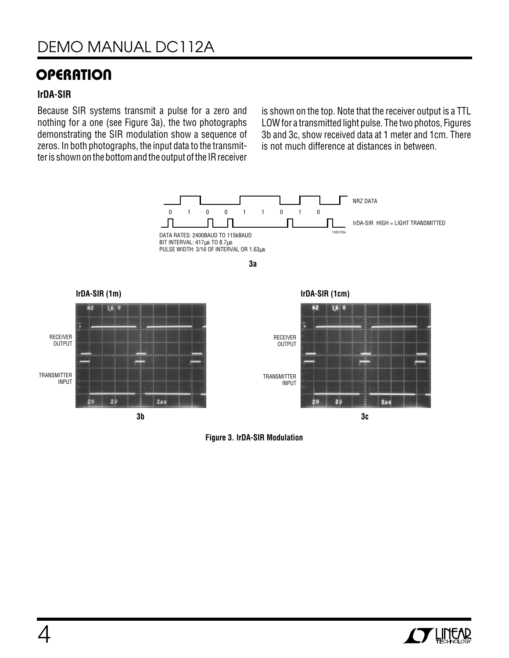### **OPERATION**

#### **IrDA-SIR**

Because SIR systems transmit a pulse for a zero and nothing for a one (see Figure 3a), the two photographs demonstrating the SIR modulation show a sequence of zeros. In both photographs, the input data to the transmitter is shown on the bottom and the output of the IR receiver

is shown on the top. Note that the receiver output is a TTL LOW for a transmitted light pulse. The two photos, Figures 3b and 3c, show received data at 1 meter and 1cm. There is not much difference at distances in between.



**Figure 3. IrDA-SIR Modulation**

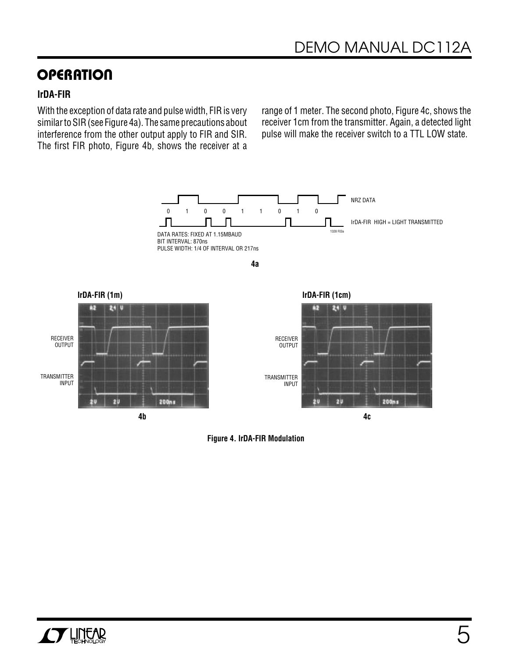### **OPERATION**

#### **IrDA-FIR**

With the exception of data rate and pulse width, FIR is very similar to SIR (see Figure 4a). The same precautions about interference from the other output apply to FIR and SIR. The first FIR photo, Figure 4b, shows the receiver at a

range of 1 meter. The second photo, Figure 4c, shows the receiver 1cm from the transmitter. Again, a detected light pulse will make the receiver switch to a TTL LOW state.



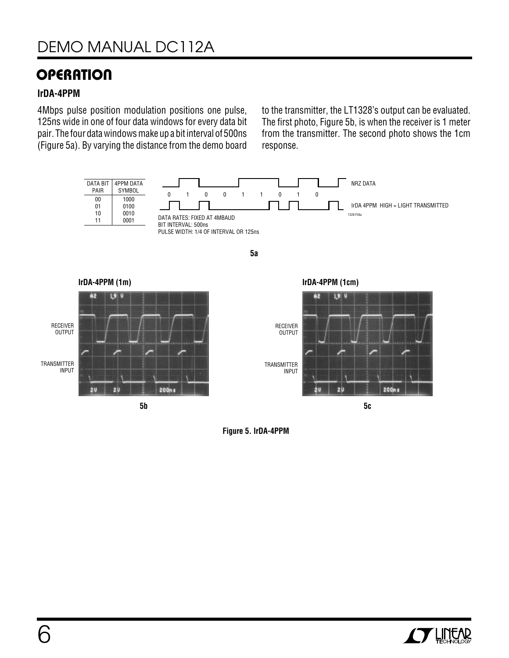### **OPERATION**

#### **IrDA-4PPM**

4Mbps pulse position modulation positions one pulse, 125ns wide in one of four data windows for every data bit pair. The four data windows make up a bit interval of 500ns (Figure 5a). By varying the distance from the demo board

to the transmitter, the LT1328's output can be evaluated. The first photo, Figure 5b, is when the receiver is 1 meter from the transmitter. The second photo shows the 1cm response.





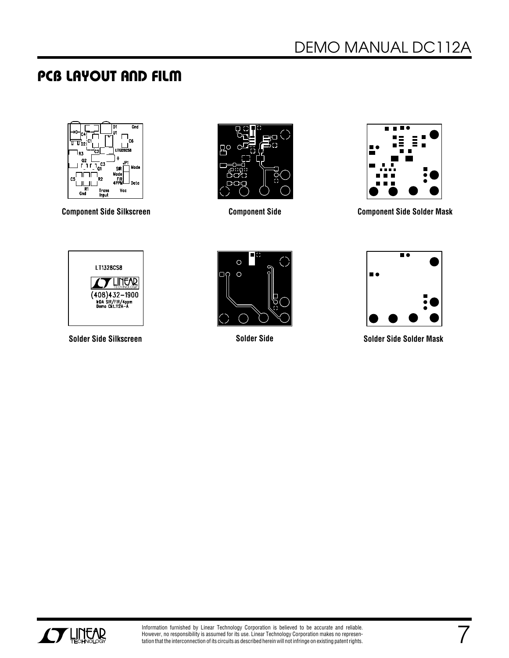### **PCB LAYOUT AND FILM**







**Component Side Silkscreen Component Side Solder Mask Component Side**







**Solder Side Silkscreen Solder Side Solder Side Solder Mask**